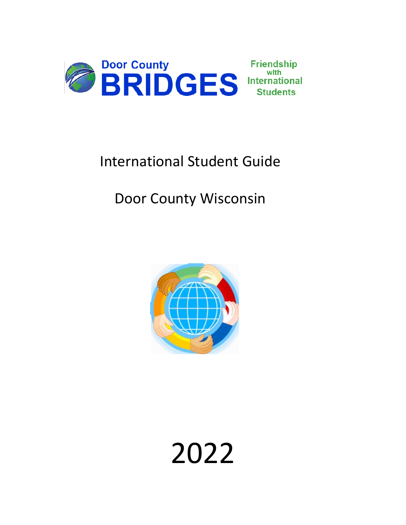

# International Student Guide

# Door County Wisconsin



# 2022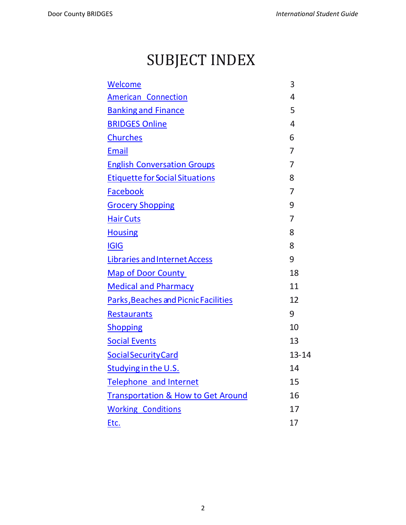# <span id="page-1-0"></span>SUBJECT INDEX

| Welcome                                       | 3              |
|-----------------------------------------------|----------------|
| <b>American Connection</b>                    | 4              |
| <b>Banking and Finance</b>                    | 5              |
| <b>BRIDGES Online</b>                         | 4              |
| <b>Churches</b>                               | 6              |
| <b>Email</b>                                  | 7              |
| <b>English Conversation Groups</b>            | 7              |
| <b>Etiquette for Social Situations</b>        | 8              |
| <b>Facebook</b>                               | $\overline{7}$ |
| <b>Grocery Shopping</b>                       | 9              |
| <b>Hair Cuts</b>                              | $\overline{7}$ |
| <b>Housing</b>                                | 8              |
| <b>IGIG</b>                                   | 8              |
| <b>Libraries and Internet Access</b>          | 9              |
| <b>Map of Door County</b>                     | 18             |
| <b>Medical and Pharmacy</b>                   | 11             |
| <b>Parks, Beaches and Picnic Facilities</b>   | 12             |
| <b>Restaurants</b>                            | 9              |
| <b>Shopping</b>                               | 10             |
| <b>Social Events</b>                          | 13             |
| <b>Social Security Card</b>                   | $13 - 14$      |
| Studying in the U.S.                          | 14             |
| <b>Telephone and Internet</b>                 | 15             |
| <b>Transportation &amp; How to Get Around</b> | 16             |
| <b>Working Conditions</b>                     | 17             |
| Etc.                                          | 17             |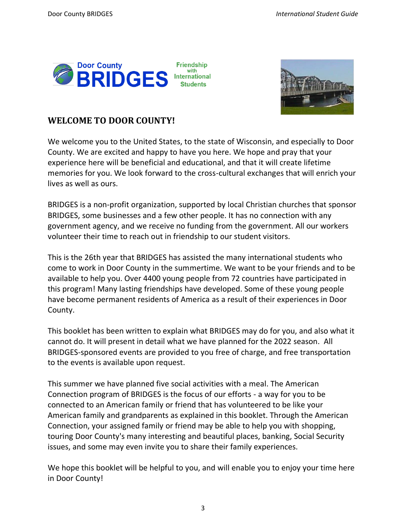<span id="page-2-0"></span>



#### **WELCOME TO DOOR COUNTY!**

We welcome you to the United States, to the state of Wisconsin, and especially to Door County. We are excited and happy to have you here. We hope and pray that your experience here will be beneficial and educational, and that it will create lifetime memories for you. We look forward to the cross-cultural exchanges that will enrich your lives as well as ours.

BRIDGES is a non-profit organization, supported by local Christian churches that sponsor BRIDGES, some businesses and a few other people. It has no connection with any government agency, and we receive no funding from the government. All our workers volunteer their time to reach out in friendship to our student visitors.

This is the 26th year that BRIDGES has assisted the many international students who come to work in Door County in the summertime. We want to be your friends and to be available to help you. Over 4400 young people from 72 countries have participated in this program! Many lasting friendships have developed. Some of these young people have become permanent residents of America as a result of their experiences in Door County.

This booklet has been written to explain what BRIDGES may do for you, and also what it cannot do. It will present in detail what we have planned for the 2022 season. All BRIDGES-sponsored events are provided to you free of charge, and free transportation to the events is available upon request.

This summer we have planned five social activities with a meal. The American Connection program of BRIDGES is the focus of our efforts - a way for you to be connected to an American family or friend that has volunteered to be like your American family and grandparents as explained in this booklet. Through the American Connection, your assigned family or friend may be able to help you with shopping, touring Door County's many interesting and beautiful places, banking, Social Security issues, and some may even invite you to share their family experiences.

We hope this booklet will be helpful to you, and will enable you to enjoy your time here in Door County!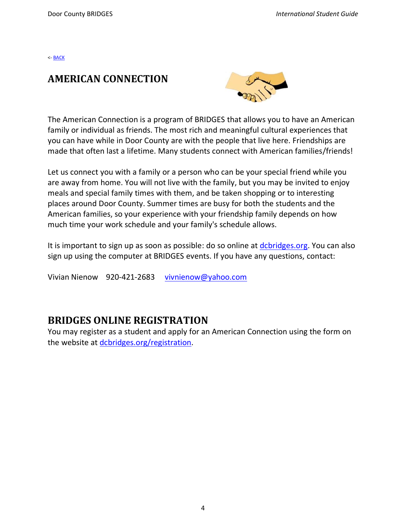#### <span id="page-3-0"></span>**AMERICAN CONNECTION**



The American Connection is a program of BRIDGES that allows you to have an American family or individual as friends. The most rich and meaningful cultural experiences that you can have while in Door County are with the people that live here. Friendships are made that often last a lifetime. Many students connect with American families/friends!

Let us connect you with a family or a person who can be your special friend while you are away from home. You will not live with the family, but you may be invited to enjoy meals and special family times with them, and be taken shopping or to interesting places around Door County. Summer times are busy for both the students and the American families, so your experience with your friendship family depends on how much time your work schedule and your family's schedule allows.

It is important to sign up as soon as possible: do so online at [dcbridges.org.](http://www.dcbridges.org/) You can also sign up using the computer at BRIDGES events. If you have any questions, contact:

<span id="page-3-1"></span>Vivian Nienow 920-421-2683 [vivnienow@yahoo.com](mailto:vivnienow@yahoo.com)

#### **BRIDGES ONLINE REGISTRATION**

You may register as a student and apply for an American Connection using the form on the website at [dcbridges.org/registration.](https://dcbridges.org/registration)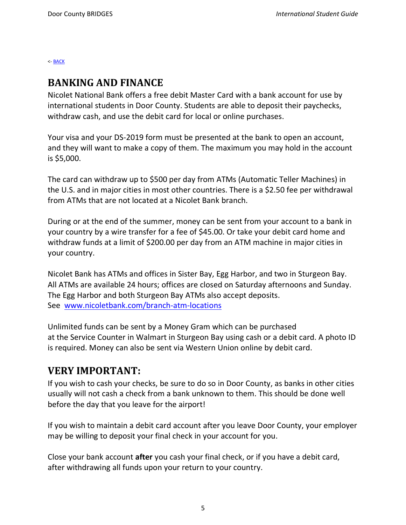#### <span id="page-4-0"></span>**BANKING AND FINANCE**

Nicolet National Bank offers a free debit Master Card with a bank account for use by international students in Door County. Students are able to deposit their paychecks, withdraw cash, and use the debit card for local or online purchases.

Your visa and your DS-2019 form must be presented at the bank to open an account, and they will want to make a copy of them. The maximum you may hold in the account is \$5,000.

The card can withdraw up to \$500 per day from ATMs (Automatic Teller Machines) in the U.S. and in major cities in most other countries. There is a \$2.50 fee per withdrawal from ATMs that are not located at a Nicolet Bank branch.

During or at the end of the summer, money can be sent from your account to a bank in your country by a wire transfer for a fee of \$45.00. Or take your debit card home and withdraw funds at a limit of \$200.00 per day from an ATM machine in major cities in your country.

Nicolet Bank has ATMs and offices in Sister Bay, Egg Harbor, and two in Sturgeon Bay. All ATMs are available 24 hours; offices are closed on Saturday afternoons and Sunday. The Egg Harbor and both Sturgeon Bay ATMs also accept deposits. See [www.nicoletbank.com/branch-atm-locations](http://www.nicoletbank.com/branch-atm-locations)

Unlimited funds can be sent by a Money Gram which can be purchased at the Service Counter in Walmart in Sturgeon Bay using cash or a debit card. A photo ID is required. Money can also be sent via Western Union online by debit card.

## **VERY IMPORTANT:**

If you wish to cash your checks, be sure to do so in Door County, as banks in other cities usually will not cash a check from a bank unknown to them. This should be done well before the day that you leave for the airport!

If you wish to maintain a debit card account after you leave Door County, your employer may be willing to deposit your final check in your account for you.

Close your bank account **after** you cash your final check, or if you have a debit card, after withdrawing all funds upon your return to your country.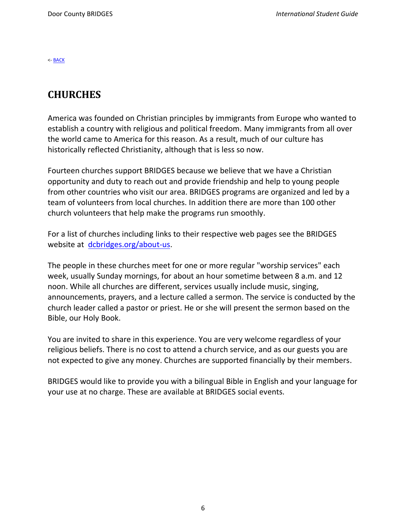## <span id="page-5-0"></span>**CHURCHES**

America was founded on Christian principles by immigrants from Europe who wanted to establish a country with religious and political freedom. Many immigrants from all over the world came to America for this reason. As a result, much of our culture has historically reflected Christianity, although that is less so now.

Fourteen churches support BRIDGES because we believe that we have a Christian opportunity and duty to reach out and provide friendship and help to young people from other countries who visit our area. BRIDGES programs are organized and led by a team of volunteers from local churches. In addition there are more than 100 other church volunteers that help make the programs run smoothly.

For a list of churches including links to their respective web pages see the BRIDGES website at [dcbridges.org/about-us.](https://dcbridges.org/about-us/)

The people in these churches meet for one or more regular "worship services" each week, usually Sunday mornings, for about an hour sometime between 8 a.m. and 12 noon. While all churches are different, services usually include music, singing, announcements, prayers, and a lecture called a sermon. The service is conducted by the church leader called a pastor or priest. He or she will present the sermon based on the Bible, our Holy Book.

You are invited to share in this experience. You are very welcome regardless of your religious beliefs. There is no cost to attend a church service, and as our guests you are not expected to give any money. Churches are supported financially by their members.

BRIDGES would like to provide you with a bilingual Bible in English and your language for your use at no charge. These are available at BRIDGES social events.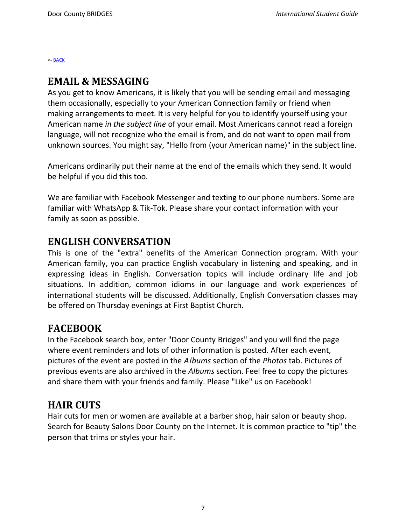#### <span id="page-6-0"></span>**EMAIL & MESSAGING**

As you get to know Americans, it is likely that you will be sending email and messaging them occasionally, especially to your American Connection family or friend when making arrangements to meet. It is very helpful for you to identify yourself using your American name *in the subject line* of your email. Most Americans cannot read a foreign language, will not recognize who the email is from, and do not want to open mail from unknown sources. You might say, "Hello from (your American name)" in the subject line.

Americans ordinarily put their name at the end of the emails which they send. It would be helpful if you did this too.

We are familiar with Facebook Messenger and texting to our phone numbers. Some are familiar with WhatsApp & Tik-Tok. Please share your contact information with your family as soon as possible.

#### <span id="page-6-1"></span>**ENGLISH CONVERSATION**

This is one of the "extra" benefits of the American Connection program. With your American family, you can practice English vocabulary in listening and speaking, and in expressing ideas in English. Conversation topics will include ordinary life and job situations. In addition, common idioms in our language and work experiences of international students will be discussed. Additionally, English Conversation classes may be offered on Thursday evenings at First Baptist Church.

#### <span id="page-6-2"></span>**FACEBOOK**

In the Facebook search box, enter "Door County Bridges" and you will find the page where event reminders and lots of other information is posted. After each event, pictures of the event are posted in the *A!bums* section of the *Photos* tab. Pictures of previous events are also archived in the *Albums* section. Feel free to copy the pictures and share them with your friends and family. Please "Like" us on Facebook!

#### <span id="page-6-3"></span>**HAIR CUTS**

Hair cuts for men or women are available at a barber shop, hair salon or beauty shop. Search for Beauty Salons Door County on the Internet. It is common practice to "tip" the person that trims or styles your hair.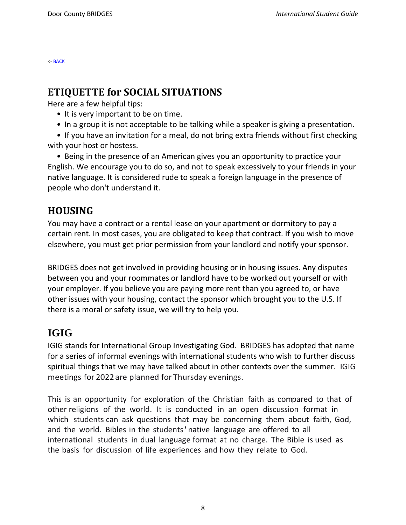# <span id="page-7-0"></span>**ETIQUETTE for SOCIAL SITUATIONS**

Here are a few helpful tips:

- It is very important to be on time.
- In a group it is not acceptable to be talking while a speaker is giving a presentation.
- If you have an invitation for a meal, do not bring extra friends without first checking with your host or hostess.

• Being in the presence of an American gives you an opportunity to practice your English. We encourage you to do so, and not to speak excessively to your friends in your native language. It is considered rude to speak a foreign language in the presence of people who don't understand it.

# <span id="page-7-1"></span>**HOUSING**

You may have a contract or a rental lease on your apartment or dormitory to pay a certain rent. In most cases, you are obligated to keep that contract. If you wish to move elsewhere, you must get prior permission from your landlord and notify your sponsor.

BRIDGES does not get involved in providing housing or in housing issues. Any disputes between you and your roommates or landlord have to be worked out yourself or with your employer. If you believe you are paying more rent than you agreed to, or have other issues with your housing, contact the sponsor which brought you to the U.S. If there is a moral or safety issue, we will try to help you.

# <span id="page-7-2"></span>**IGIG**

IGIG stands for International Group Investigating God. BRIDGES has adopted that name for a series of informal evenings with international students who wish to further discuss spiritual things that we may have talked about in other contexts over the summer. IGIG meetings for 2022 are planned for Thursday evenings.

This is an opportunity for exploration of the Christian faith as compared to that of other religions of the world. It is conducted in an open discussion format in which students can ask questions that may be concerning them about faith, God, and the world. Bibles in the students'native language are offered to all international students in dual language format at no charge. The Bible is used as the basis for discussion of life experiences and how they relate to God.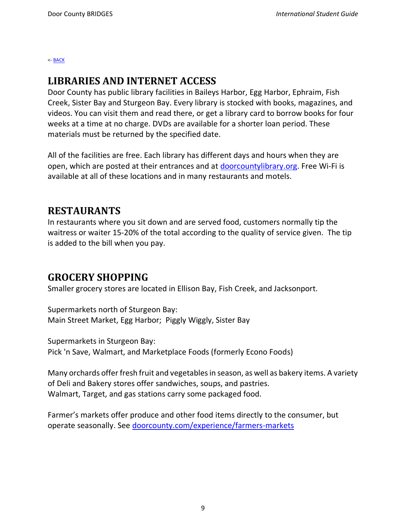#### <span id="page-8-1"></span>**LIBRARIES AND INTERNET ACCESS**

Door County has public library facilities in Baileys Harbor, Egg Harbor, Ephraim, Fish Creek, Sister Bay and Sturgeon Bay. Every library is stocked with books, magazines, and videos. You can visit them and read there, or get a library card to borrow books for four weeks at a time at no charge. DVDs are available for a shorter loan period. These materials must be returned by the specified date.

All of the facilities are free. Each library has different days and hours when they are open, which are posted at their entrances and at [doorcountylibrary.org.](http://www.doorcountylibrary.org/) Free Wi-Fi is available at all of these locations and in many restaurants and motels.

# <span id="page-8-2"></span>**RESTAURANTS**

In restaurants where you sit down and are served food, customers normally tip the waitress or waiter 15-20% of the total according to the quality of service given. The tip is added to the bill when you pay.

## <span id="page-8-0"></span>**GROCERY SHOPPING**

Smaller grocery stores are located in Ellison Bay, Fish Creek, and Jacksonport.

Supermarkets north of Sturgeon Bay: Main Street Market, Egg Harbor; Piggly Wiggly, Sister Bay

Supermarkets in Sturgeon Bay: Pick 'n Save, Walmart, and Marketplace Foods (formerly Econo Foods)

Many orchards offer fresh fruit and vegetables in season, as well as bakery items. A variety of Deli and Bakery stores offer sandwiches, soups, and pastries. Walmart, Target, and gas stations carry some packaged food.

Farmer's markets offer produce and other food items directly to the consumer, but operate seasonally. See [doorcounty.com/experience/farmers-markets](https://www.doorcounty.com/experience/farmers-markets/)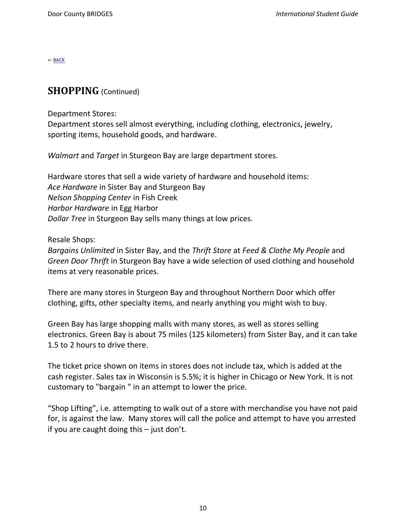#### <span id="page-9-0"></span>**SHOPPING** (Continued)

Department Stores:

Department stores sell almost everything, including clothing, electronics, jewelry, sporting items, household goods, and hardware.

*Walmart* and *Target* in Sturgeon Bay are large department stores.

Hardware stores that sell a wide variety of hardware and household items: *Ace Hardware* in Sister Bay and Sturgeon Bay *Nelson Shopping Center* in Fish Creek *Harbor Hardware* in Egg Harbor *Dollar Tree* in Sturgeon Bay sells many things at low prices.

Resale Shops:

*Bargains Unlimited* in Sister Bay, and the *Thrift Store* at *Feed & Clothe My People* and *Green Door Thrift* in Sturgeon Bay have a wide selection of used clothing and household items at very reasonable prices.

There are many stores in Sturgeon Bay and throughout Northern Door which offer clothing, gifts, other specialty items, and nearly anything you might wish to buy.

Green Bay has large shopping malls with many stores, as well as stores selling electronics. Green Bay is about 75 miles (125 kilometers) from Sister Bay, and it can take 1.5 to 2 hours to drive there.

The ticket price shown on items in stores does not include tax, which is added at the cash register. Sales tax in Wisconsin is 5.5%; it is higher in Chicago or New York. It is not customary to "bargain " in an attempt to lower the price.

"Shop Lifting", i.e. attempting to walk out of a store with merchandise you have not paid for, is against the law. Many stores will call the police and attempt to have you arrested if you are caught doing this – just don't.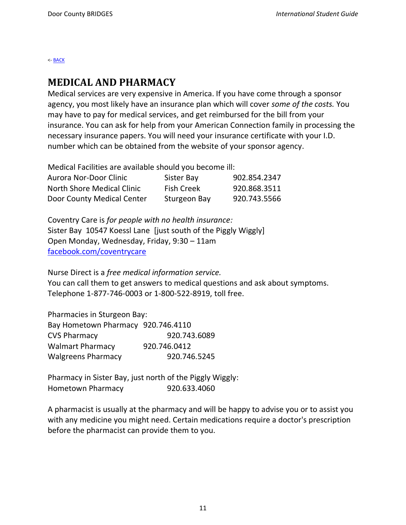#### <span id="page-10-0"></span>**MEDICAL AND PHARMACY**

Medical services are very expensive in America. If you have come through a sponsor agency, you most likely have an insurance plan which will cover *some of the costs.* You may have to pay for medical services, and get reimbursed for the bill from your insurance. You can ask for help from your American Connection family in processing the necessary insurance papers. You will need your insurance certificate with your I.D. number which can be obtained from the website of your sponsor agency.

Medical Facilities are available should you become ill:

| Aurora Nor-Door Clinic     | Sister Bay        | 902.854.2347 |
|----------------------------|-------------------|--------------|
| North Shore Medical Clinic | <b>Fish Creek</b> | 920.868.3511 |
| Door County Medical Center | Sturgeon Bay      | 920.743.5566 |

Coventry Care is *for people with no health insurance:* Sister Bay 10547 Koessl Lane [just south of the Piggly Wiggly] Open Monday, Wednesday, Friday, 9:30 – 11am [facebook.com/coventrycare](https://www.facebook.com/coventrycare/)

Nurse Direct is a *free medical information service.* You can call them to get answers to medical questions and ask about symptoms. Telephone 1-877-746-0003 or 1-800-522-8919, toll free.

Pharmacies in Sturgeon Bay: Bay Hometown Pharmacy 920.746.4110 CVS Pharmacy 920.743.6089 Walmart Pharmacy 920.746.0412 Walgreens Pharmacy 920.746.5245

Pharmacy in Sister Bay, just north of the Piggly Wiggly: Hometown Pharmacy 920.633.4060

A pharmacist is usually at the pharmacy and will be happy to advise you or to assist you with any medicine you might need. Certain medications require a doctor's prescription before the pharmacist can provide them to you.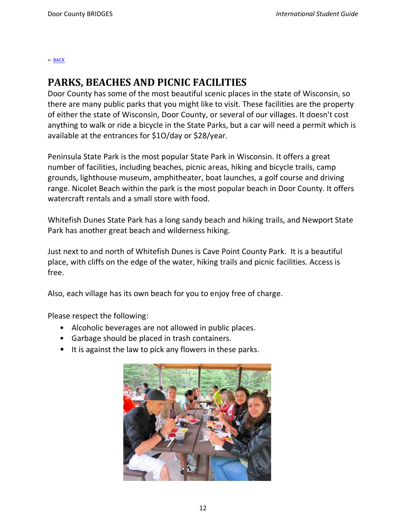#### <span id="page-11-0"></span>**PARKS, BEACHES AND PICNIC FACILITIES**

Door County has some of the most beautiful scenic places in the state of Wisconsin, so there are many public parks that you might like to visit. These facilities are the property of either the state of Wisconsin, Door County, or several of our villages. It doesn't cost anything to walk or ride a bicycle in the State Parks, but a car will need a permit which is available at the entrances for \$1O/day or \$28/year.

Peninsula State Park is the most popular State Park in Wisconsin. It offers a great number of facilities, including beaches, picnic areas, hiking and bicycle trails, camp grounds, lighthouse museum, amphitheater, boat launches, a golf course and driving range. Nicolet Beach within the park is the most popular beach in Door County. It offers watercraft rentals and a small store with food.

Whitefish Dunes State Park has a long sandy beach and hiking trails, and Newport State Park has another great beach and wilderness hiking.

Just next to and north of Whitefish Dunes is Cave Point County Park. It is a beautiful place, with cliffs on the edge of the water, hiking trails and picnic facilities. Access is free.

Also, each village has its own beach for you to enjoy free of charge.

Please respect the following:

- Alcoholic beverages are not allowed in public places.
- Garbage should be placed in trash containers.
- It is against the law to pick any flowers in these parks.

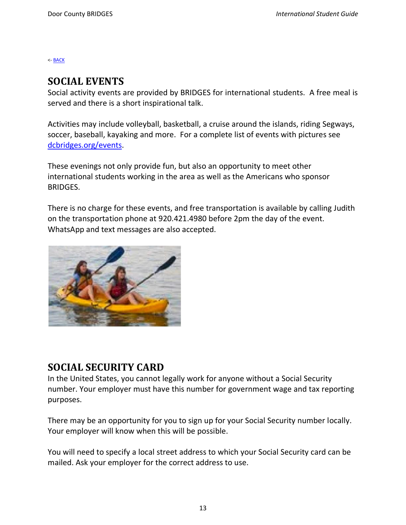#### <span id="page-12-0"></span>**SOCIAL EVENTS**

Social activity events are provided by BRIDGES for international students. A free meal is served and there is a short inspirational talk.

Activities may include volleyball, basketball, a cruise around the islands, riding Segways, soccer, baseball, kayaking and more. For a complete list of events with pictures see [dcbridges.org/events.](https://dcbridges.org/events/)

These evenings not only provide fun, but also an opportunity to meet other international students working in the area as well as the Americans who sponsor BRIDGES.

There is no charge for these events, and free transportation is available by calling Judith on the transportation phone at 920.421.4980 before 2pm the day of the event. WhatsApp and text messages are also accepted.



## <span id="page-12-1"></span>**SOCIAL SECURITY CARD**

In the United States, you cannot legally work for anyone without a Social Security number. Your employer must have this number for government wage and tax reporting purposes.

There may be an opportunity for you to sign up for your Social Security number locally. Your employer will know when this will be possible.

You will need to specify a local street address to which your Social Security card can be mailed. Ask your employer for the correct address to use.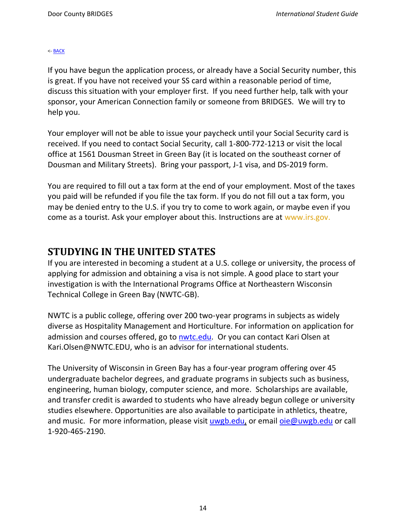If you have begun the application process, or already have a Social Security number, this is great. If you have not received your SS card within a reasonable period of time, discuss this situation with your employer first. If you need further help, talk with your sponsor, your American Connection family or someone from BRIDGES. We will try to help you.

Your employer will not be able to issue your paycheck until your Social Security card is received. If you need to contact Social Security, call 1-800-772-1213 or visit the local office at 1561 Dousman Street in Green Bay (it is located on the southeast corner of Dousman and Military Streets). Bring your passport, J-1 visa, and DS-2019 form.

You are required to fill out a tax form at the end of your employment. Most of the taxes you paid will be refunded if you file the tax form. If you do not fill out a tax form, you may be denied entry to the U.S. if you try to come to work again, or maybe even if you come as a tourist. Ask your employer about this. Instructions are at [www.irs.gov.](http://www.irs.gov/)

## <span id="page-13-0"></span>**STUDYING IN THE UNITED STATES**

If you are interested in becoming a student at a U.S. college or university, the process of applying for admission and obtaining a visa is not simple. A good place to start your investigation is with the International Programs Office at Northeastern Wisconsin Technical College in Green Bay (NWTC-GB).

NWTC is a public college, offering over 200 two-year programs in subjects as widely diverse as Hospitality Management and Horticulture. For information on application for admission and courses offered, go to [nwtc.edu.](https://www.nwtc.edu/admissions-and-aid/international-students) Or you can contact Kari Olsen at Kari.Olsen@NWTC.EDU, who is an advisor for international students.

The University of Wisconsin in Green Bay has a four-year program offering over 45 undergraduate bachelor degrees, and graduate programs in subjects such as business, engineering, human biology, computer science, and more. Scholarships are available, and transfer credit is awarded to students who have already begun college or university studies elsewhere. Opportunities are also available to participate in athletics, theatre, and music. For more information, please visit [uwgb.edu,](https://www.uwgb.edu/international-education/) or email [oie@uwgb.edu](mailto:oie@uwgb.edu) or call 1-920-465-2190.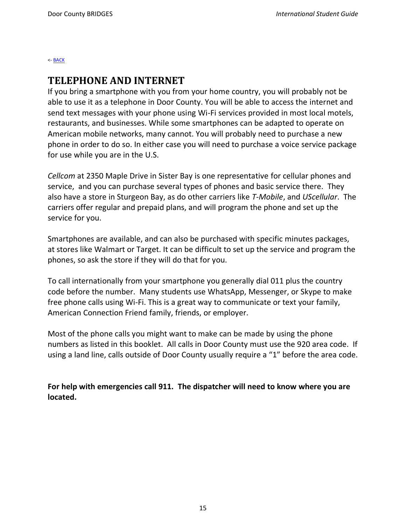#### <span id="page-14-0"></span>**TELEPHONE AND INTERNET**

If you bring a smartphone with you from your home country, you will probably not be able to use it as a telephone in Door County. You will be able to access the internet and send text messages with your phone using Wi-Fi services provided in most local motels, restaurants, and businesses. While some smartphones can be adapted to operate on American mobile networks, many cannot. You will probably need to purchase a new phone in order to do so. In either case you will need to purchase a voice service package for use while you are in the U.S.

*Cellcom* at 2350 Maple Drive in Sister Bay is one representative for cellular phones and service, and you can purchase several types of phones and basic service there. They also have a store in Sturgeon Bay, as do other carriers like *T-Mobile*, and *UScellular*. The carriers offer regular and prepaid plans, and will program the phone and set up the service for you.

Smartphones are available, and can also be purchased with specific minutes packages, at stores like Walmart or Target. It can be difficult to set up the service and program the phones, so ask the store if they will do that for you.

To call internationally from your smartphone you generally dial 011 plus the country code before the number. Many students use WhatsApp, Messenger, or Skype to make free phone calls using Wi-Fi. This is a great way to communicate or text your family, American Connection Friend family, friends, or employer.

Most of the phone calls you might want to make can be made by using the phone numbers as listed in this booklet. All calls in Door County must use the 920 area code. If using a land line, calls outside of Door County usually require a "1" before the area code.

**For help with emergencies call 911. The dispatcher will need to know where you are located.**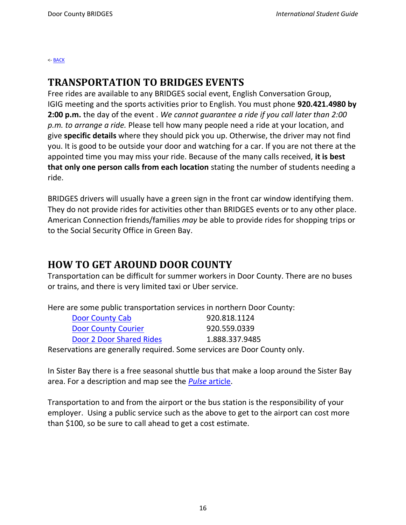#### <span id="page-15-0"></span>**TRANSPORTATION TO BRIDGES EVENTS**

Free rides are available to any BRIDGES social event, English Conversation Group, IGIG meeting and the sports activities prior to English. You must phone **920.421.4980 by 2:00 p.m.** the day of the event . *We cannot guarantee a ride if you call later than 2:00 p.m. to arrange a ride.* Please tell how many people need a ride at your location, and give **specific details** where they should pick you up. Otherwise, the driver may not find you. It is good to be outside your door and watching for a car. If you are not there at the appointed time you may miss your ride. Because of the many calls received, **it is best that only one person calls from each location** stating the number of students needing a ride.

BRIDGES drivers will usually have a green sign in the front car window identifying them. They do not provide rides for activities other than BRIDGES events or to any other place. American Connection friends/families *may* be able to provide rides for shopping trips or to the Social Security Office in Green Bay.

## **HOW TO GET AROUND DOOR COUNTY**

Transportation can be difficult for summer workers in Door County. There are no buses or trains, and there is very limited taxi or Uber service.

Here are some public transportation services in northern Door County:

| Door County Cab                                                                       | 920.818.1124   |
|---------------------------------------------------------------------------------------|----------------|
| <b>Door County Courier</b>                                                            | 920.559.0339   |
| Door 2 Door Shared Rides                                                              | 1.888.337.9485 |
| بامته يتشورنهم ومحجم ومحاوضته ومعروره والمحولين ومحور بالموجودة ومحاولاته والمتحاربين |                |

Reservations are generally required. Some services are Door County only.

In Sister Bay there is a free seasonal shuttle bus that make a loop around the Sister Bay area. For a description and map see the *Pulse* [article.](https://doorcountypulse.com/sister-bay-village-shuttle-bus-service-returns/)

Transportation to and from the airport or the bus station is the responsibility of your employer. Using a public service such as the above to get to the airport can cost more than \$100, so be sure to call ahead to get a cost estimate.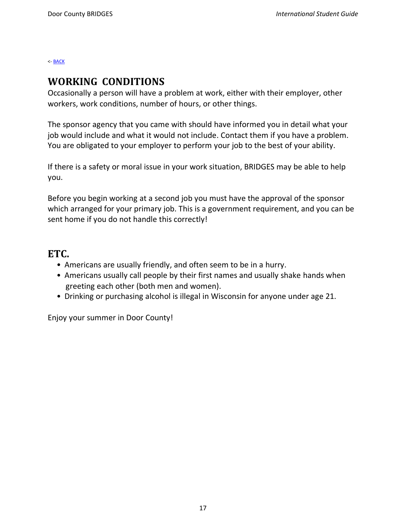#### <span id="page-16-0"></span>**WORKING CONDITIONS**

Occasionally a person will have a problem at work, either with their employer, other workers, work conditions, number of hours, or other things.

The sponsor agency that you came with should have informed you in detail what your job would include and what it would not include. Contact them if you have a problem. You are obligated to your employer to perform your job to the best of your ability.

If there is a safety or moral issue in your work situation, BRIDGES may be able to help you.

Before you begin working at a second job you must have the approval of the sponsor which arranged for your primary job. This is a government requirement, and you can be sent home if you do not handle this correctly!

#### <span id="page-16-1"></span>**ETC.**

- Americans are usually friendly, and often seem to be in a hurry.
- Americans usually call people by their first names and usually shake hands when greeting each other (both men and women).
- Drinking or purchasing alcohol is illegal in Wisconsin for anyone under age 21.

Enjoy your summer in Door County!